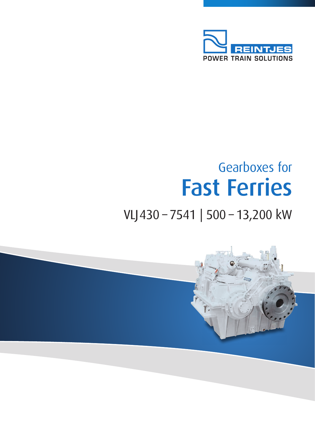

## Gearboxes for Fast Ferries

## VLJ430 – 7541 | 500 – 13,200 kW

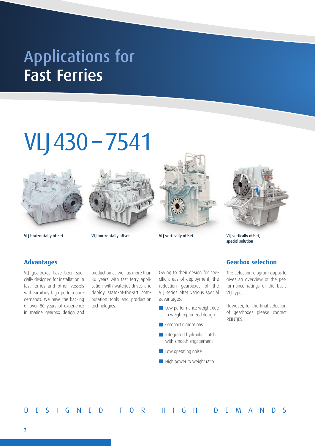## Fast Ferries Applications for

# VLJ430 – 7541



VLJ horizontally offset VLJ horizontally offset VLJ vertically offset VLJ vertically offset,



VLJ vertically offset

special solution

## **Advantages**

VLJ gearboxes have been specially designed for installation in fast ferries and other vessels with similarly high performance demands. We have the backing of over 80 years of experience in marine gearbox design and

production as well as more than 30 years with fast ferry application with waterjet drives and deploy state-of-the-art computation tools and production technologies.

Owing to their design for specific areas of deployment, the reduction gearboxes of the VLJ series offer various special advantages:

- **Low performance weight due** to weight-optimized design
- **Compact dimensions**
- **Integrated hydraulic clutch** with smooth engagement
- Low operating noise
- **High power to weight ratio**



The selection diagram opposite gives an overview of the performance ratings of the basic VLJ types.

However, for the final selection of gearboxes please contact REINTJES.

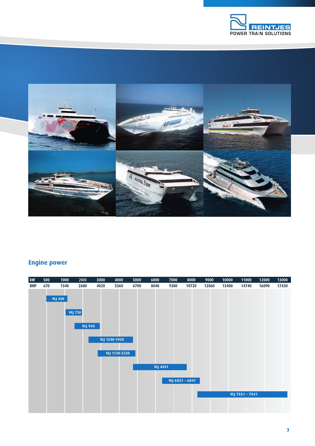



## **Engine power**

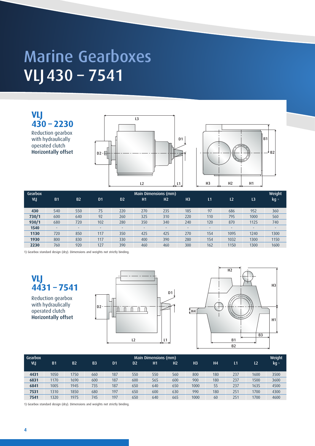## VLJ430 – 7541 Marine Gearboxes

**VLJ 430 – 2230**  Reduction gearbox with hydraulically operated clutch Horizontally offset





| Gearbox<br>VLJ | <b>B1</b>                | <b>B2</b>                | D <sub>1</sub>           | D <sub>2</sub>           | H1     | Main Dimensions (mm)<br>H <sub>2</sub> | H <sub>3</sub> | L1                       | L <sub>2</sub> | L <sub>3</sub>           | Weight<br>kg <sub>"</sub> |
|----------------|--------------------------|--------------------------|--------------------------|--------------------------|--------|----------------------------------------|----------------|--------------------------|----------------|--------------------------|---------------------------|
| 430            | 540                      | 550                      | 75                       | 220                      | 270    | 235                                    | 185            | 97                       | 686            | 952                      | 360                       |
| 730/1          | 600                      | 640                      | 92                       | 260                      | 325    | 310                                    | 220            | 110                      | 795            | 1000                     | 560                       |
| 930/1          | 680                      | 720                      | 102                      | 280                      | 350    | 340                                    | 240            | 120                      | 870            | 1125                     | 740                       |
| 1540           | $\overline{\phantom{a}}$ | $\overline{\phantom{a}}$ | $\overline{\phantom{a}}$ | $\overline{\phantom{a}}$ | $\sim$ | $\overline{\phantom{a}}$               |                | $\overline{\phantom{a}}$ | -              | $\overline{\phantom{a}}$ | $\overline{\phantom{a}}$  |
| 1130           | 720                      | 850                      | 117                      | 350                      | 425    | 425                                    | 270            | 154                      | 1095           | 1240                     | 1300                      |
| 1930           | 800                      | 830                      | 117                      | 330                      | 400    | 390                                    | 280            | 154                      | 1032           | 1300                     | 1150                      |
| 2230           | 760                      | 920                      | 127                      | 390                      | 460    | 460                                    | 300            | 162                      | 1150           | 1300                     | 1600                      |

1) Gearbox standard design (dry). Dimensions and weights not strictly binding.

**VLJ 4431 – 7541** 

Reduction gearbox with hydraulically operated clutch Horizontally offset





| Gearbox | Main Dimensions (mm) |           |                |                |                |     |     |                |           |     |                |               |
|---------|----------------------|-----------|----------------|----------------|----------------|-----|-----|----------------|-----------|-----|----------------|---------------|
| VLJ     | <b>B1</b>            | <b>B2</b> | B <sub>3</sub> | D <sub>1</sub> | D <sub>2</sub> | H1  | Н2  | H <sub>3</sub> | <b>H4</b> | Ί1  | L <sub>2</sub> | $kg_{\theta}$ |
|         |                      |           |                |                |                |     |     |                |           |     |                |               |
| 4431    | 1050                 | 1750      | 660            | 187            | 550            | 550 | 560 | 800            | 180       | 237 | 1600           | 3500          |
| 6831    | 1170                 | 1690      | 600            | 187            | 600            | 565 | 600 | 900            | 180       | 237 | 1500           | 3600          |
| 6841    | 1005                 | 1945      | 735            | 187            | 650            | 640 | 650 | 1000           | 55        | 237 | 1635           | 4500          |
| 7531    | 1310                 | 1850      | 680            | 197            | 650            | 600 | 630 | 990            | 180       | 251 | 1700           | 4300          |
| 7541    | 1320                 | 1975      | 745            | 197            | 650            | 640 | 665 | 1000           | 60        | 251 | 1700           | 4600          |

1) Gearbox standard design (dry). Dimensions and weights not strictly binding.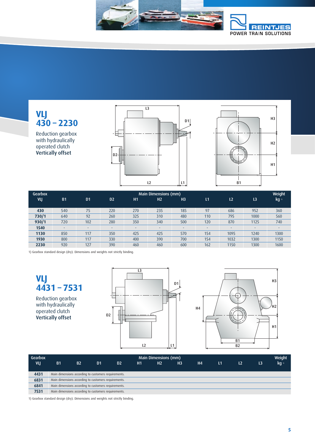

**VLJ 430 – 2230**

Reduction gearbox with hydraulically operated clutch Vertically offset





| Gearbox | <b>Main Dimensions (mm)</b> |                          |                          |     |                          |                |              |                          |                          |                  |  |  |
|---------|-----------------------------|--------------------------|--------------------------|-----|--------------------------|----------------|--------------|--------------------------|--------------------------|------------------|--|--|
| VLJ     | <b>B1</b>                   | D <sub>1</sub>           | D <sub>2</sub>           | H1  | H <sub>2</sub>           | H <sub>3</sub> | $\mathsf{L}$ | L <sub>2</sub>           | L <sub>3</sub>           | kg <sub>",</sub> |  |  |
|         |                             |                          |                          |     |                          |                |              |                          |                          |                  |  |  |
| 430     | 540                         | 75                       | 220                      | 270 | 235                      | 185            | 97           | 686                      | 952                      | 360              |  |  |
| 730/1   | 640                         | 92                       | 260                      | 325 | 310                      | 480            | 110          | 795                      | 1000                     | 560              |  |  |
| 930/1   | 720                         | 102                      | 280                      | 350 | 340                      | 500            | 120          | 870                      | 1125                     | 740              |  |  |
| 1540    | -                           | $\overline{\phantom{a}}$ | $\overline{\phantom{0}}$ | ٠   | $\overline{\phantom{a}}$ | -              |              | $\overline{\phantom{a}}$ | $\overline{\phantom{a}}$ | ٠                |  |  |
| 1130    | 850                         | 117                      | 350                      | 425 | 425                      | 570            | 154          | 1095                     | 1240                     | 1300             |  |  |
| 1930    | 800                         | 117                      | 330                      | 400 | 390                      | 700            | 154          | 1032                     | 1300                     | 1150             |  |  |
| 2230    | 920                         | 127                      | 390                      | 460 | 460                      | 600            | 162          | 1150                     | 1300                     | 1600             |  |  |

1) Gearbox standard design (dry). Dimensions and weights not strictly binding.

**VLJ 4431 – 7531**

Reduction gearbox with hydraulically operated clutch Vertically offset





| Gearbox | Main Dimensions (mm)                                 |           |                |                |    |                |                |                |               |    |    |               |
|---------|------------------------------------------------------|-----------|----------------|----------------|----|----------------|----------------|----------------|---------------|----|----|---------------|
| VLI     | <b>B1</b>                                            | <b>B2</b> | D <sub>1</sub> | D <sub>2</sub> | H1 | H <sub>2</sub> | H <sub>3</sub> | H <sub>4</sub> | $\mathsf{L}1$ | L2 | L3 | $kg_{\theta}$ |
|         |                                                      |           |                |                |    |                |                |                |               |    |    |               |
| 4431    | Main dimensions according to customers requirements. |           |                |                |    |                |                |                |               |    |    |               |
| 6831    | Main dimensions according to customers requirements. |           |                |                |    |                |                |                |               |    |    |               |
| 6841    | Main dimensions according to customers requirements. |           |                |                |    |                |                |                |               |    |    |               |
| 7531    | Main dimensions according to customers requirements. |           |                |                |    |                |                |                |               |    |    |               |

1) Gearbox standard design (dry). Dimensions and weights not strictly binding.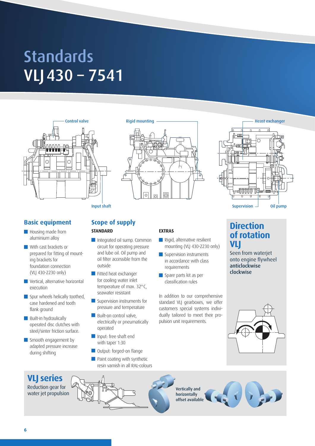## VLJ430 – 7541 **Standards**



## **Basic equipment**

- **Housing made from** aluminium alloy
- **With cast brackets or** prepared for fitting of mounting brackets for foundation connection (VLJ 430-2230 only)
- **No** Vertical, alternative horizontal execution
- $\blacksquare$  Spur wheels helically toothed, case hardened and tooth flank ground
- **Built-in hydraulically** operated disc clutches with steel/sinter friction surface.
- Smooth engagement by adapted pressure increase during shifting





### **STANDARD**

- Integrated oil sump. Common circuit for operating pressure and lube oil. Oil pump and oil filter accessible from the outside
- Fitted heat exchanger for cooling water inlet temperature of max. 32°C, seawater resistant
- Supervision instruments for pressure and temperature
- **Built-on control valve,** electrically or pneumatically operated
- Input: free shaft end with taper 1:30
- Output: forged-on flange
- **Paint coating with synthetic** resin varnish in all RAL-colours

### **EXTRAS**

- Rigid, alternative resilient mounting (VLJ 430-2230 only)
- Supervision instruments in accordance with class requirements
- Spare parts kit as per classification rules

In addition to our comprehensive standard VLJ gearboxes, we offer customers special systems individually tailored to meet their propulsion unit requirements.



## **Direction of rotation VLJ**

Seen from waterjet onto engine flywheel anticlockwise clockwise



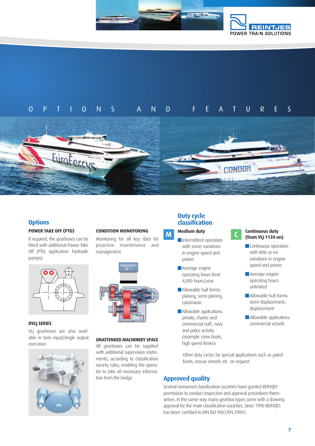

## OPTIONS AND FEATURES



### **Options**

#### **POWER TAKE OFF (PTO)**

If required, the gearboxes can be fitted with additional Power Take Off (PTO; application: hydraulic pumps).



#### **DVLJ SERIES**

VLJ gearboxes are also available in twin input/single output execution.



### **CONDITION MONOTORING**

Monitoring for all key data for proactive maintenance and management.



#### **UNATTENDED MACHINERY SPACE**

All gearboxes can be supplied with additional supervision instruments, according to classification society rules, enabling the operator to take all necessary information from the bridge.

### **Duty cycle classification**

## **Medium duty**

- **M Medium duty**<br> **Intermittent operation** with some variations in engine speed and power
	- **Average engine** operating hours limit: 4,000 hours/year
	- **Allowable hull forms:** planing, semi-planing, catamaran
	- **Allowable applications:** private, charter and commercial craft, navy and police activity (example: crew boats, high speed ferries)

## **Continuous duty (from VLJ 1130 on)**

- **Continuous operation** with little or no variations in engine speed and power
- **Average engine** operating hours: unlimited
- **Allowable hull forms:** semi-displacement, displacement
- **Allowable applications:** commercial vessels

Other duty cycles for special applications such as patrol boats, rescue vessels etc. on request.

## **Approved quality**

Several renowned classification societies have granted REINTJES permission to conduct inspection and approval procedures themselves. In the same way many gearbox types come with a drawing approval for the main classification societies. Since 1990 REINTJES has been certified to DIN ISO 9001/EN 29001.